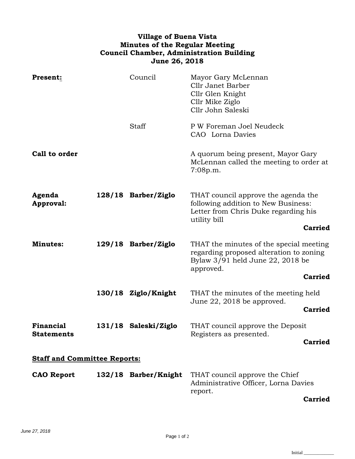## **Village of Buena Vista Minutes of the Regular Meeting Council Chamber, Administration Building June 26, 2018**

| Present:                            |  | Council              | Mayor Gary McLennan<br>Cllr Janet Barber<br>Cllr Glen Knight<br>Cllr Mike Ziglo<br>Cllr John Saleski                                |  |  |
|-------------------------------------|--|----------------------|-------------------------------------------------------------------------------------------------------------------------------------|--|--|
|                                     |  | Staff                | P W Foreman Joel Neudeck<br>CAO Lorna Davies                                                                                        |  |  |
| Call to order                       |  |                      | A quorum being present, Mayor Gary<br>McLennan called the meeting to order at<br>7:08p.m.                                           |  |  |
| Agenda<br>Approval:                 |  | 128/18 Barber/Ziglo  | THAT council approve the agenda the<br>following addition to New Business:<br>Letter from Chris Duke regarding his<br>utility bill  |  |  |
|                                     |  |                      | <b>Carried</b>                                                                                                                      |  |  |
| <b>Minutes:</b>                     |  | 129/18 Barber/Ziglo  | THAT the minutes of the special meeting<br>regarding proposed alteration to zoning<br>Bylaw 3/91 held June 22, 2018 be<br>approved. |  |  |
|                                     |  |                      | <b>Carried</b>                                                                                                                      |  |  |
|                                     |  | 130/18 Ziglo/Knight  | THAT the minutes of the meeting held                                                                                                |  |  |
|                                     |  |                      | June 22, 2018 be approved.<br><b>Carried</b>                                                                                        |  |  |
| Financial<br><b>Statements</b>      |  | 131/18 Saleski/Ziglo | THAT council approve the Deposit<br>Registers as presented.                                                                         |  |  |
|                                     |  |                      | <b>Carried</b>                                                                                                                      |  |  |
| <b>Staff and Committee Reports:</b> |  |                      |                                                                                                                                     |  |  |
| <b>CAO Report</b>                   |  | 132/18 Barber/Knight | THAT council approve the Chief<br>Administrative Officer, Lorna Davies<br>report.                                                   |  |  |
|                                     |  |                      | Corried                                                                                                                             |  |  |